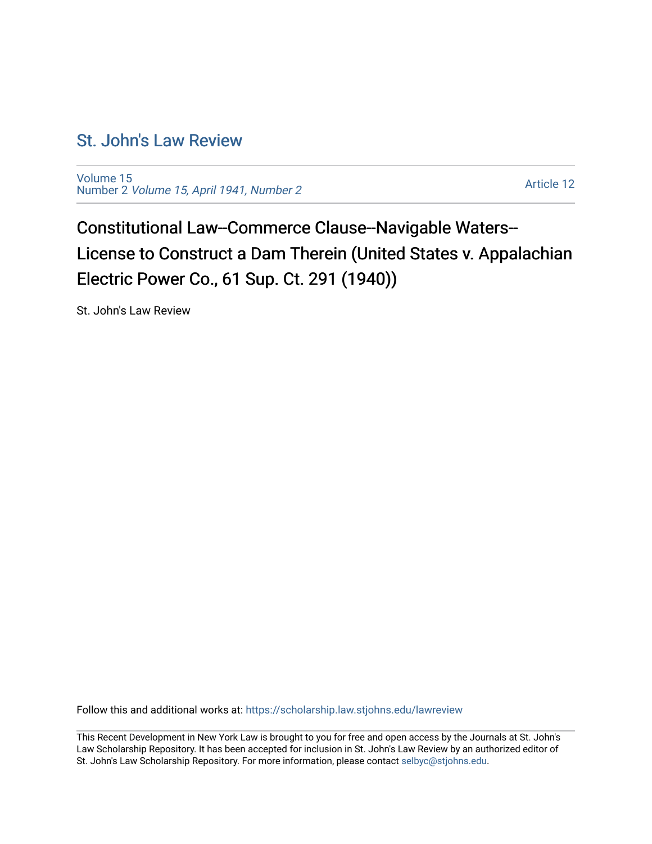## [St. John's Law Review](https://scholarship.law.stjohns.edu/lawreview)

[Volume 15](https://scholarship.law.stjohns.edu/lawreview/vol15) Number 2 [Volume 15, April 1941, Number 2](https://scholarship.law.stjohns.edu/lawreview/vol15/iss2) 

[Article 12](https://scholarship.law.stjohns.edu/lawreview/vol15/iss2/12) 

Constitutional Law--Commerce Clause--Navigable Waters-- License to Construct a Dam Therein (United States v. Appalachian Electric Power Co., 61 Sup. Ct. 291 (1940))

St. John's Law Review

Follow this and additional works at: [https://scholarship.law.stjohns.edu/lawreview](https://scholarship.law.stjohns.edu/lawreview?utm_source=scholarship.law.stjohns.edu%2Flawreview%2Fvol15%2Fiss2%2F12&utm_medium=PDF&utm_campaign=PDFCoverPages) 

This Recent Development in New York Law is brought to you for free and open access by the Journals at St. John's Law Scholarship Repository. It has been accepted for inclusion in St. John's Law Review by an authorized editor of St. John's Law Scholarship Repository. For more information, please contact [selbyc@stjohns.edu](mailto:selbyc@stjohns.edu).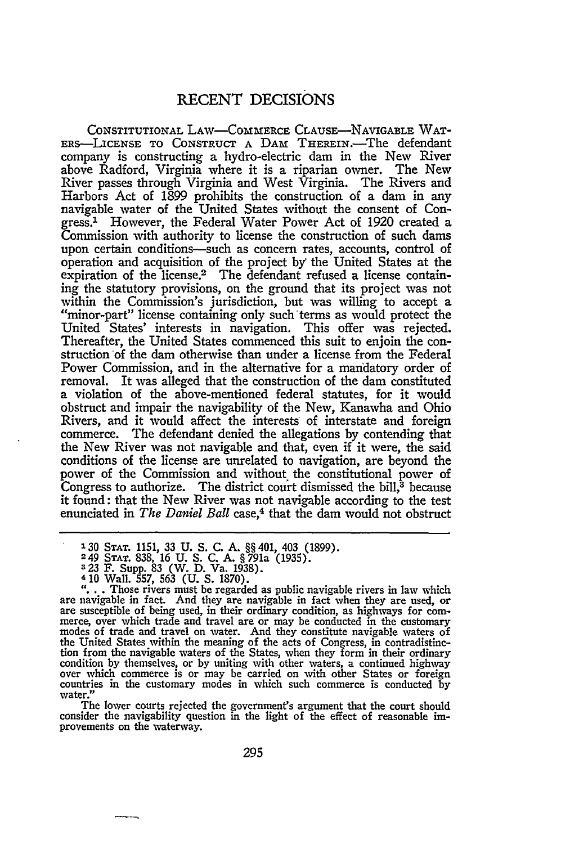## **RECENT** DECISIONS

CONSTITUTIONAL LAW-CoMmERCE CLAUSE-NAVIGABLE WAT-ERS-LICENSE TO **CONSTRUCT** A **DAM** THEREIN.-The defendant company is constructing a hydro-electric dam in the New River above Radford, Virginia where it is a riparian owner. The New River passes through Virginia and West Virginia. The Rivers and Harbors Act of 1899 prohibits the construction of a dam in any navigable water of the United States without the consent of Congress.' However, the Federal Water Power Act of 1920 created a Commission with authority to license the construction of such dams upon certain conditions-such as concern rates, accounts, control of operation and acquisition of the project by the United States at the expiration of the license.<sup>2</sup> The defendant refused a license containing the statutory provisions, on the ground that its project was not within the Commission's jurisdiction, but was willing to accept a "minor-part" license containing only such'terms as would protect the United States' interests in navigation. This offer was rejected. Thereafter, the United States commenced this suit to enjoin the construction of the dam otherwise than under a license from the Federal Power Commission, and in the alternative for a mandatory order of removal. It was alleged that the construction of the dam constituted a violation of the above-mentioned federal statutes, for it would obstruct and impair the navigability of the New, Kanawha and Ohio Rivers, and it would affect the interests of interstate and foreign commerce. The defendant denied the allegations by contending that the New River was not navigable and that, even if it were, the said conditions of the license are unrelated to navigation, are beyond the power of the Commission and without the constitutional power of Congress to authorize. The district court dismissed the bill, $\delta$  because it found: that the New River was not navigable according to the test enunciated in *The Daniel Ball* case,<sup>4</sup> that the dam would not obstruct

The lower courts rejected the government's argument that the court should consider the navigability question in the light of the effect of reasonable improvements on the waterway.

**<sup>130</sup> STAT. 1151, 33 U. S. C. A.** §§ 401, 403 **(1899).**

**<sup>249</sup> STAT.** 838, **16 U.** S. C. A. §791a (1935).

**<sup>323</sup> F.** Supp. **83** (W. D. Va. 1938).

are navigable in fact. And they are navigable in fact when they are used, or<br>are susceptible of being used, in their ordinary condition, as highways for com-<br>merce, over which trade and travel are or may be conducted in th the United States within the meaning of the acts of Congress, in contradistinc-tion from the navigable waters of the States, when they form in their ordinary condition by themselves, or by uniting with other waters, a continued highway over which commerce is or may be carried on with other States or foreign countries in the customary modes in which such commerce is conducted by water."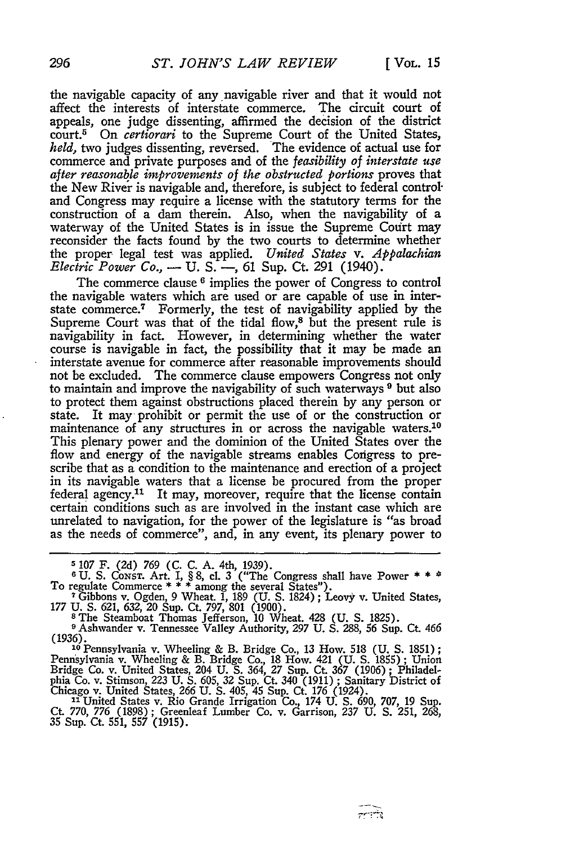the navigable capacity of any navigable river and that it would not affect the interests of interstate commerce. The circuit court of appeals, one judge dissenting, affirmed the decision of the district court.<sup>5</sup> On *certiorari* to the Supreme Court of the United States, *held,* two judges dissenting, reversed. The evidence of actual use for commerce and private purposes and of the *feasibility of interstate use after reasonable improvements of the obstructed portions* proves that the New River is navigable and, therefore, is subject to federal control" and Congress may require a license with the statutory terms for the construction of a dam therein. Also, when the navigability of a waterway of the United States is in issue the Supreme Court may reconsider the facts found **by** the two courts to determine whether the proper legal test was applied. *United States v. Appalachian Electric Power Co.,* - U. S. - 61 Sup. Ct. 291 (1940).

The commerce clause **6** implies the power of Congress to control the navigable waters which are used or are capable of use in interstate commerce. 7 Formerly, the test of navigability applied **by** the Supreme Court was that of the tidal flow,<sup>8</sup> but the present rule is navigability in fact. However, in determining whether the water course is navigable in fact, the possibility that it may be made an interstate avenue for commerce after reasonable improvements should not be excluded. The commerce clause empowers Congress not only to maintain and improve the navigability of such waterways **9** but also to protect them against obstructions placed therein **by** any person or state. It may prohibit or permit the use of or the construction or maintenance of any structures in or across the navigable waters.<sup>10</sup> This plenary power and the dominion of the United States over the flow and energy of the navigable streams enables Congress to prescribe that as a condition to the maintenance and erection of a project in its navigable waters that a license be procured from the proper federal agency.<sup>11</sup> It may, moreover, require that the license contain certain conditions such as are involved in the instant case which are unrelated to navigation, for the power of the legislature is "as broad as the needs of commerce", and, in any event, its plenary power to

**5** 107 F. (2d) **769** (C. **C. A.** 4th, 1939). 6 U. S. CoNsT. Art. I, § 8, cl. 3 ("The Congress shall have Power **\* \*** \* To regulate Commerce **\* \* \*** among the several States"). **<sup>7</sup>**Gibbons v. Ogden, 9 Wheat 1, 189 (U. S. 1824) ; Leovy v. United States,

177 U. S. 621, **632,** 20 Sup. Ct. 797, 801 (1900). **<sup>8</sup>**The Steamboat Thomas Jefferson, 10 Wheat. 428 (U. **S.** 1825). **<sup>9</sup>**Ashwander v. Tennessee Valley Authority, *297* U. **S.** 288, 56 Sup. Ct. 466

*(1936).* **<sup>10</sup>**Pennsylvania v. Wheeling & B. Bridge Co., 13 How. 518 (U. **S.** 1851);

Pennsylvania v. Wheeling & B. Bridge Co., 18 How. 421 (U. S. 1855); Union<br>Bridge Co. v. United States, 204 U. S. 364, 27 Sup. Ct. 367 (1906); Philadel-<br>phia Co. v. Stimson, 223 U. S. 605, 32 Sup. Ct. 340 (1911); Sanitary D

Chicago v. United States, 266 U. S. 405, 45 Sup. Ct. 176 (1924).<br>
<sup>11</sup> United States v. Rio Grande Irrigation Co., 174 U. S. 690, 707, 19 Sup.<br>
Ct. 770, 776 (1898); Greenleaf Lumber Co. v. Garrison, 237 U. S. 251, 268,<br>
35

تشفسك